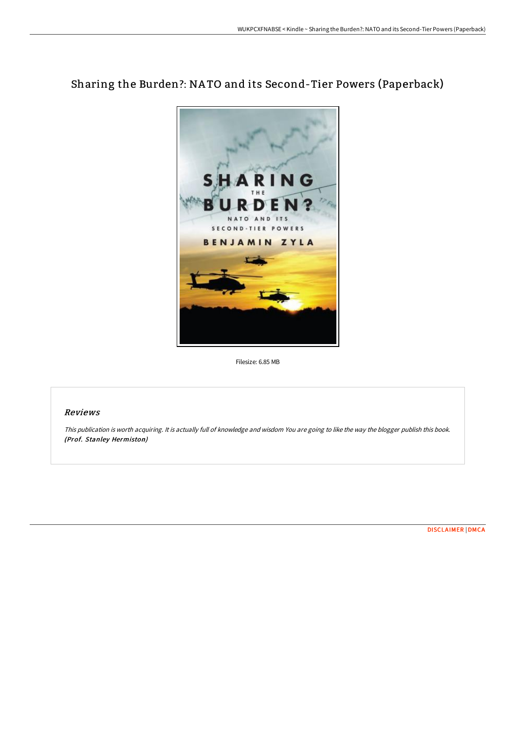## Sharing the Burden?: NA TO and its Second-Tier Powers (Paperback)



Filesize: 6.85 MB

## Reviews

This publication is worth acquiring. It is actually full of knowledge and wisdom You are going to like the way the blogger publish this book. (Prof. Stanley Hermiston)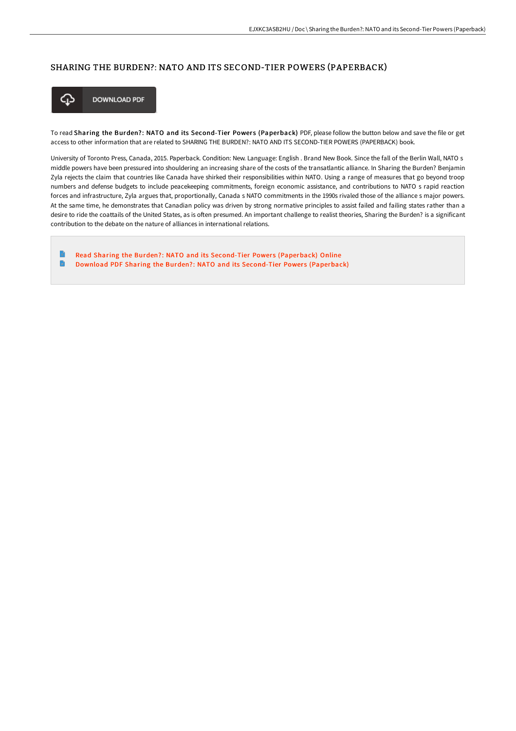## SHARING THE BURDEN?: NATO AND ITS SECOND-TIER POWERS (PAPERBACK)



**DOWNLOAD PDF** 

To read Sharing the Burden?: NATO and its Second-Tier Powers (Paperback) PDF, please follow the button below and save the file or get access to other information that are related to SHARING THE BURDEN?: NATO AND ITS SECOND-TIER POWERS (PAPERBACK) book.

University of Toronto Press, Canada, 2015. Paperback. Condition: New. Language: English . Brand New Book. Since the fall of the Berlin Wall, NATO s middle powers have been pressured into shouldering an increasing share of the costs of the transatlantic alliance. In Sharing the Burden? Benjamin Zyla rejects the claim that countries like Canada have shirked their responsibilities within NATO. Using a range of measures that go beyond troop numbers and defense budgets to include peacekeeping commitments, foreign economic assistance, and contributions to NATO s rapid reaction forces and infrastructure, Zyla argues that, proportionally, Canada s NATO commitments in the 1990s rivaled those of the alliance s major powers. At the same time, he demonstrates that Canadian policy was driven by strong normative principles to assist failed and failing states rather than a desire to ride the coattails of the United States, as is often presumed. An important challenge to realist theories, Sharing the Burden? is a significant contribution to the debate on the nature of alliances in international relations.

Read Sharing the Burden?: NATO and its Second-Tier Powers [\(Paperback\)](http://techno-pub.tech/sharing-the-burden-nato-and-its-second-tier-powe.html) Online  $\blacksquare$ Download PDF Sharing the Burden?: NATO and its Second-Tier Powers [\(Paperback\)](http://techno-pub.tech/sharing-the-burden-nato-and-its-second-tier-powe.html)